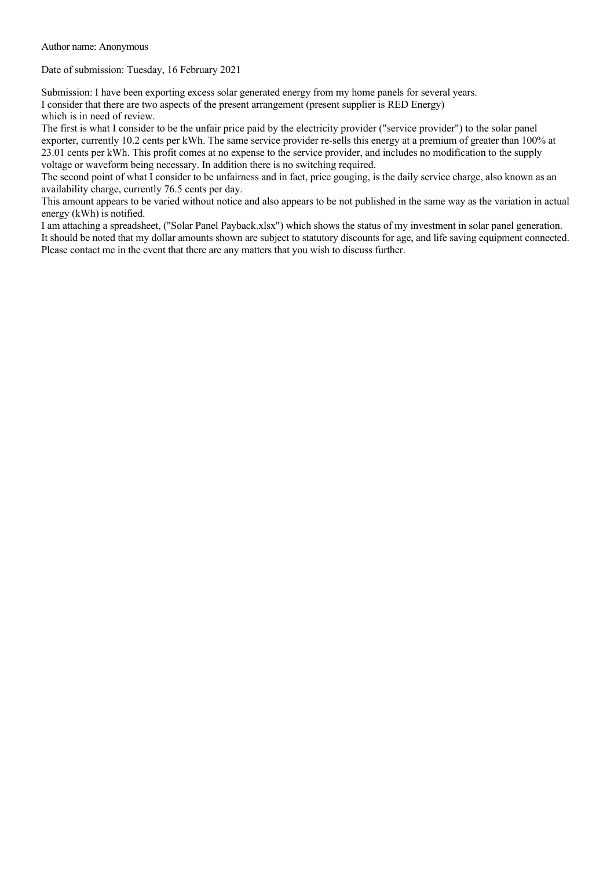Author name: Anonymous

Date of submission: Tuesday, 16 February 2021

Submission: I have been exporting excess solar generated energy from my home panels for several years. I consider that there are two aspects of the present arrangement (present supplier is RED Energy) which is in need of review.

The first is what I consider to be the unfair price paid by the electricity provider ("service provider") to the solar panel exporter, currently 10.2 cents per kWh. The same service provider re-sells this energy at a premium of greater than 100% at 23.01 cents per kWh. This profit comes at no expense to the service provider, and includes no modification to the supply voltage or waveform being necessary. In addition there is no switching required.

The second point of what I consider to be unfairness and in fact, price gouging, is the daily service charge, also known as an availability charge, currently 76.5 cents per day.

This amount appears to be varied without notice and also appears to be not published in the same way as the variation in actual energy (kWh) is notified.

I am attaching a spreadsheet, ("Solar Panel Payback.xlsx") which shows the status of my investment in solar panel generation. It should be noted that my dollar amounts shown are subject to statutory discounts for age, and life saving equipment connected. Please contact me in the event that there are any matters that you wish to discuss further.